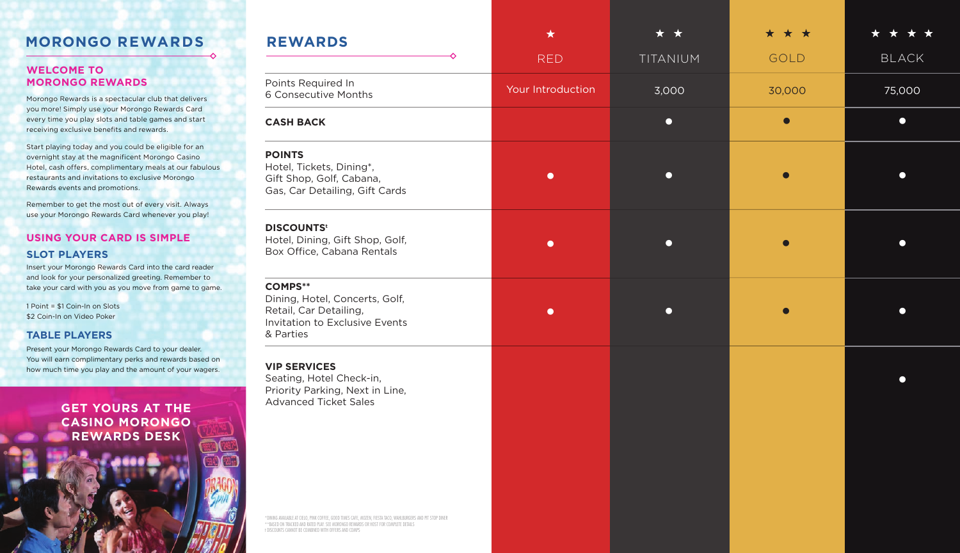## **MORONGO REWARDS**

#### **WELCOME TO MORONGO REWARDS**

Morongo Rewards is a spectacular club that delivers you more! Simply use your Morongo Rewards Card every time you play slots and table games and start receiving exclusive benefits and rewards.

Start playing today and you could be eligible for an overnight stay at the magnificent Morongo Casino Hotel, cash offers, complimentary meals at our fabulous restaurants and invitations to exclusive Morongo Rewards events and promotions.

Remember to get the most out of every visit. Always use your Morongo Rewards Card whenever you play!

### **USING YOUR CARD IS SIMPLE**

#### **SLOT PLAYERS**

Insert your Morongo Rewards Card into the card reader and look for your personalized greeting. Remember to take your card with you as you move from game to game.

1 Point = \$1 Coin-In on Slots \$2 Coin-In on Video Poker

#### **TABLE PLAYERS**

Present your Morongo Rewards Card to your dealer. You will earn complimentary perks and rewards based on how much time you play and the amount of your wagers.

**GET YOURS AT THE CASINO MORONGO REWARDS DESK**

| <b>REWARDS</b>                                                                                                                                                                                                                                              | $\star$           | * *       | $\star$<br>* * | ❖<br>$\rightarrow$ |
|-------------------------------------------------------------------------------------------------------------------------------------------------------------------------------------------------------------------------------------------------------------|-------------------|-----------|----------------|--------------------|
|                                                                                                                                                                                                                                                             | <b>RED</b>        | TITANIUM  | GOLD           | <b>BLACK</b>       |
| Points Required In<br>6 Consecutive Months                                                                                                                                                                                                                  | Your Introduction | 3,000     | 30,000         | 75,000             |
| <b>CASH BACK</b>                                                                                                                                                                                                                                            |                   | $\bullet$ | $\bullet$      | $\bullet$          |
| <b>POINTS</b><br>Hotel, Tickets, Dining*,<br>Gift Shop, Golf, Cabana,<br>Gas, Car Detailing, Gift Cards                                                                                                                                                     | $\bullet$         | $\bullet$ | $\bullet$      |                    |
| <b>DISCOUNTS<sup>t</sup></b><br>Hotel, Dining, Gift Shop, Golf,<br>Box Office, Cabana Rentals                                                                                                                                                               | $\bullet$         | $\bullet$ | $\bullet$      |                    |
| <b>COMPS**</b><br>Dining, Hotel, Concerts, Golf,<br>Retail, Car Detailing,<br>Invitation to Exclusive Events<br>& Parties                                                                                                                                   | $\bullet$         | $\bullet$ | $\bullet$      |                    |
| <b>VIP SERVICES</b><br>Seating, Hotel Check-in,<br>Priority Parking, Next in Line,<br><b>Advanced Ticket Sales</b>                                                                                                                                          |                   |           |                | œ                  |
| *DINING AVAILABLE AT CIELO, PINK COFFEE, GOOD TIMES CAFE, MOZEN, FIESTA TACO, WAHLBURGERS AND PIT STOP DINER<br>**BASED ON TRACKED AND RATED PLAY. SEE MORONGO REWARDS OR HOST FOR COMPLETE DETAILS<br>t DISCOUNTS CANNOT BE COMBINED WITH OFFERS AND COMPS |                   |           |                |                    |